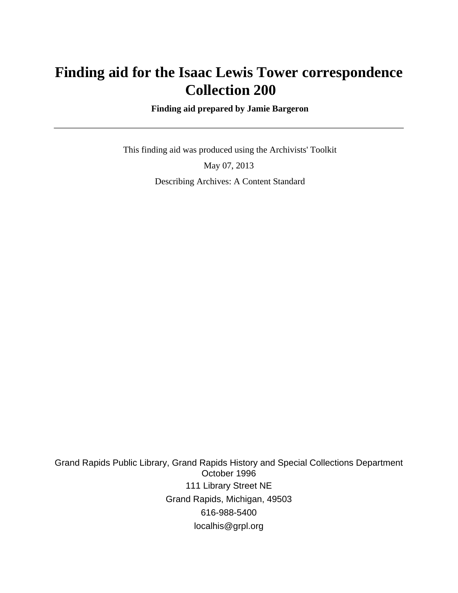# **Finding aid for the Isaac Lewis Tower correspondence Collection 200**

 **Finding aid prepared by Jamie Bargeron**

 This finding aid was produced using the Archivists' Toolkit May 07, 2013 Describing Archives: A Content Standard

Grand Rapids Public Library, Grand Rapids History and Special Collections Department October 1996 111 Library Street NE Grand Rapids, Michigan, 49503 616-988-5400 localhis@grpl.org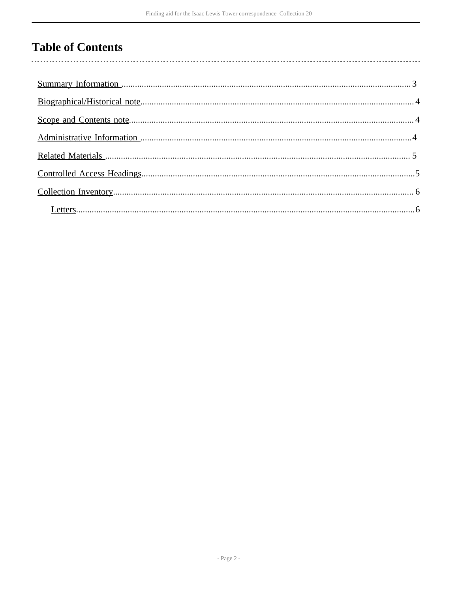## **Table of Contents**

 $\overline{\phantom{a}}$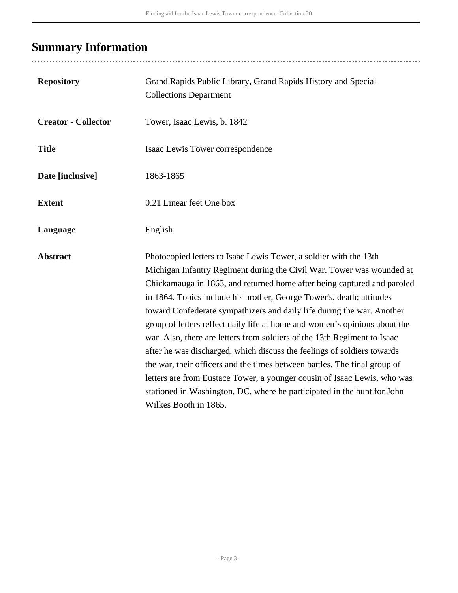# <span id="page-2-0"></span>**Summary Information**

| <b>Repository</b>          | Grand Rapids Public Library, Grand Rapids History and Special<br><b>Collections Department</b>                                                                                                                                                                                                                                                                                                                                                                                                                                                                                                                                                                                                                                                                                                                                                                             |
|----------------------------|----------------------------------------------------------------------------------------------------------------------------------------------------------------------------------------------------------------------------------------------------------------------------------------------------------------------------------------------------------------------------------------------------------------------------------------------------------------------------------------------------------------------------------------------------------------------------------------------------------------------------------------------------------------------------------------------------------------------------------------------------------------------------------------------------------------------------------------------------------------------------|
| <b>Creator - Collector</b> | Tower, Isaac Lewis, b. 1842                                                                                                                                                                                                                                                                                                                                                                                                                                                                                                                                                                                                                                                                                                                                                                                                                                                |
| <b>Title</b>               | Isaac Lewis Tower correspondence                                                                                                                                                                                                                                                                                                                                                                                                                                                                                                                                                                                                                                                                                                                                                                                                                                           |
| Date [inclusive]           | 1863-1865                                                                                                                                                                                                                                                                                                                                                                                                                                                                                                                                                                                                                                                                                                                                                                                                                                                                  |
| <b>Extent</b>              | 0.21 Linear feet One box                                                                                                                                                                                                                                                                                                                                                                                                                                                                                                                                                                                                                                                                                                                                                                                                                                                   |
| Language                   | English                                                                                                                                                                                                                                                                                                                                                                                                                                                                                                                                                                                                                                                                                                                                                                                                                                                                    |
| <b>Abstract</b>            | Photocopied letters to Isaac Lewis Tower, a soldier with the 13th<br>Michigan Infantry Regiment during the Civil War. Tower was wounded at<br>Chickamauga in 1863, and returned home after being captured and paroled<br>in 1864. Topics include his brother, George Tower's, death; attitudes<br>toward Confederate sympathizers and daily life during the war. Another<br>group of letters reflect daily life at home and women's opinions about the<br>war. Also, there are letters from soldiers of the 13th Regiment to Isaac<br>after he was discharged, which discuss the feelings of soldiers towards<br>the war, their officers and the times between battles. The final group of<br>letters are from Eustace Tower, a younger cousin of Isaac Lewis, who was<br>stationed in Washington, DC, where he participated in the hunt for John<br>Wilkes Booth in 1865. |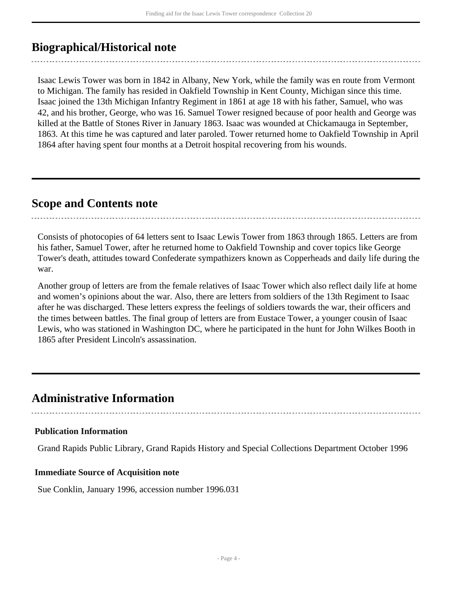## <span id="page-3-0"></span>**Biographical/Historical note**

Isaac Lewis Tower was born in 1842 in Albany, New York, while the family was en route from Vermont to Michigan. The family has resided in Oakfield Township in Kent County, Michigan since this time. Isaac joined the 13th Michigan Infantry Regiment in 1861 at age 18 with his father, Samuel, who was 42, and his brother, George, who was 16. Samuel Tower resigned because of poor health and George was killed at the Battle of Stones River in January 1863. Isaac was wounded at Chickamauga in September, 1863. At this time he was captured and later paroled. Tower returned home to Oakfield Township in April 1864 after having spent four months at a Detroit hospital recovering from his wounds.

### <span id="page-3-1"></span>**Scope and Contents note**

Consists of photocopies of 64 letters sent to Isaac Lewis Tower from 1863 through 1865. Letters are from his father, Samuel Tower, after he returned home to Oakfield Township and cover topics like George Tower's death, attitudes toward Confederate sympathizers known as Copperheads and daily life during the war.

Another group of letters are from the female relatives of Isaac Tower which also reflect daily life at home and women's opinions about the war. Also, there are letters from soldiers of the 13th Regiment to Isaac after he was discharged. These letters express the feelings of soldiers towards the war, their officers and the times between battles. The final group of letters are from Eustace Tower, a younger cousin of Isaac Lewis, who was stationed in Washington DC, where he participated in the hunt for John Wilkes Booth in 1865 after President Lincoln's assassination.

### <span id="page-3-2"></span>**Administrative Information**

#### **Publication Information**

Grand Rapids Public Library, Grand Rapids History and Special Collections Department October 1996

#### **Immediate Source of Acquisition note**

Sue Conklin, January 1996, accession number 1996.031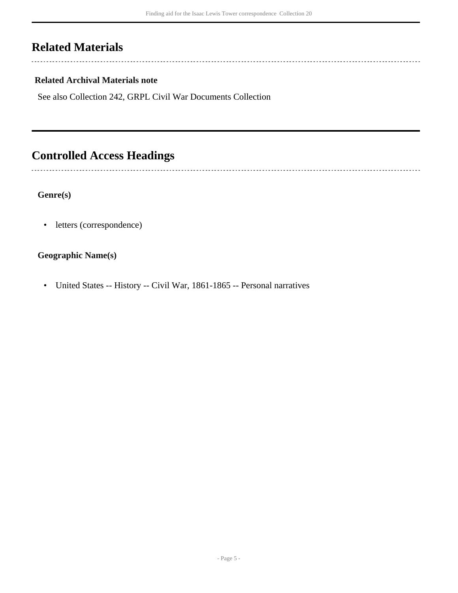## <span id="page-4-0"></span>**Related Materials**

 $\overline{a}$ 

ă.

#### **Related Archival Materials note**

See also Collection 242, GRPL Civil War Documents Collection

## <span id="page-4-1"></span>**Controlled Access Headings**

#### **Genre(s)**

• letters (correspondence)

#### **Geographic Name(s)**

• United States -- History -- Civil War, 1861-1865 -- Personal narratives